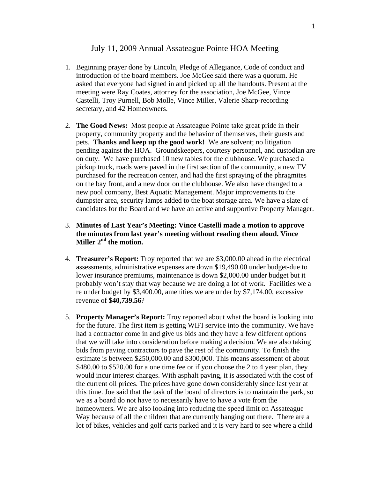### July 11, 2009 Annual Assateague Pointe HOA Meeting

- 1. Beginning prayer done by Lincoln, Pledge of Allegiance, Code of conduct and introduction of the board members. Joe McGee said there was a quorum. He asked that everyone had signed in and picked up all the handouts. Present at the meeting were Ray Coates, attorney for the association, Joe McGee, Vince Castelli, Troy Purnell, Bob Molle, Vince Miller, Valerie Sharp-recording secretary, and 42 Homeowners.
- 2. **The Good News:** Most people at Assateague Pointe take great pride in their property, community property and the behavior of themselves, their guests and pets. **Thanks and keep up the good work!** We are solvent; no litigation pending against the HOA. Groundskeepers, courtesy personnel, and custodian are on duty. We have purchased 10 new tables for the clubhouse. We purchased a pickup truck, roads were paved in the first section of the community, a new TV purchased for the recreation center, and had the first spraying of the phragmites on the bay front, and a new door on the clubhouse. We also have changed to a new pool company, Best Aquatic Management. Major improvements to the dumpster area, security lamps added to the boat storage area. We have a slate of candidates for the Board and we have an active and supportive Property Manager.

# 3. **Minutes of Last Year's Meeting: Vince Castelli made a motion to approve the minutes from last year's meeting without reading them aloud. Vince**  Miller 2<sup>nd</sup> the motion.

- 4. **Treasurer's Report:** Troy reported that we are \$3,000.00 ahead in the electrical assessments, administrative expenses are down \$19,490.00 under budget-due to lower insurance premiums, maintenance is down \$2,000.00 under budget but it probably won't stay that way because we are doing a lot of work. Facilities we a re under budget by \$3,400.00, amenities we are under by \$7,174.00, excessive revenue of \$**40,739.56**?
- 5. **Property Manager's Report:** Troy reported about what the board is looking into for the future. The first item is getting WIFI service into the community. We have had a contractor come in and give us bids and they have a few different options that we will take into consideration before making a decision. We are also taking bids from paving contractors to pave the rest of the community. To finish the estimate is between \$250,000.00 and \$300,000. This means assessment of about \$480.00 to \$520.00 for a one time fee or if you choose the 2 to 4 year plan, they would incur interest charges. With asphalt paving, it is associated with the cost of the current oil prices. The prices have gone down considerably since last year at this time. Joe said that the task of the board of directors is to maintain the park, so we as a board do not have to necessarily have to have a vote from the homeowners. We are also looking into reducing the speed limit on Assateague Way because of all the children that are currently hanging out there. There are a lot of bikes, vehicles and golf carts parked and it is very hard to see where a child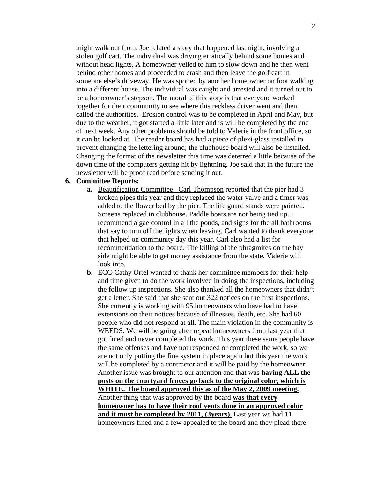might walk out from. Joe related a story that happened last night, involving a stolen golf cart. The individual was driving erratically behind some homes and without head lights. A homeowner yelled to him to slow down and he then went behind other homes and proceeded to crash and then leave the golf cart in someone else's driveway. He was spotted by another homeowner on foot walking into a different house. The individual was caught and arrested and it turned out to be a homeowner's stepson. The moral of this story is that everyone worked together for their community to see where this reckless driver went and then called the authorities. Erosion control was to be completed in April and May, but due to the weather, it got started a little later and is will be completed by the end of next week. Any other problems should be told to Valerie in the front office, so it can be looked at. The reader board has had a piece of plexi-glass installed to prevent changing the lettering around; the clubhouse board will also be installed. Changing the format of the newsletter this time was deterred a little because of the down time of the computers getting hit by lightning. Joe said that in the future the newsletter will be proof read before sending it out.

#### **6. Committee Reports:**

- **a.** Beautification Committee –Carl Thompson reported that the pier had 3 broken pipes this year and they replaced the water valve and a timer was added to the flower bed by the pier. The life guard stands were painted. Screens replaced in clubhouse. Paddle boats are not being tied up. I recommend algae control in all the ponds, and signs for the all bathrooms that say to turn off the lights when leaving. Carl wanted to thank everyone that helped on community day this year. Carl also had a list for recommendation to the board. The killing of the phragmites on the bay side might be able to get money assistance from the state. Valerie will look into.
- **b.** ECC-Cathy Ortel wanted to thank her committee members for their help and time given to do the work involved in doing the inspections, including the follow up inspections. She also thanked all the homeowners that didn't get a letter. She said that she sent out 322 notices on the first inspections. She currently is working with 95 homeowners who have had to have extensions on their notices because of illnesses, death, etc. She had 60 people who did not respond at all. The main violation in the community is WEEDS. We will be going after repeat homeowners from last year that got fined and never completed the work. This year these same people have the same offenses and have not responded or completed the work, so we are not only putting the fine system in place again but this year the work will be completed by a contractor and it will be paid by the homeowner. Another issue was brought to our attention and that was **having ALL the posts on the courtyard fences go back to the original color, which is WHITE. The board approved this as of the May 2, 2009 meeting.** Another thing that was approved by the board **was that every homeowner has to have their roof vents done in an approved color and it must be completed by 2011, (3years).** Last year we had 11 homeowners fined and a few appealed to the board and they plead there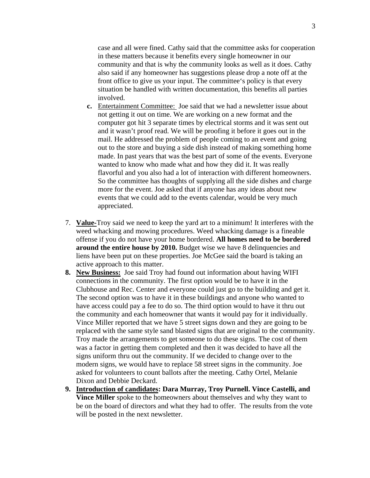case and all were fined. Cathy said that the committee asks for cooperation in these matters because it benefits every single homeowner in our community and that is why the community looks as well as it does. Cathy also said if any homeowner has suggestions please drop a note off at the front office to give us your input. The committee's policy is that every situation be handled with written documentation, this benefits all parties involved.

- **c.** Entertainment Committee: Joe said that we had a newsletter issue about not getting it out on time. We are working on a new format and the computer got hit 3 separate times by electrical storms and it was sent out and it wasn't proof read. We will be proofing it before it goes out in the mail. He addressed the problem of people coming to an event and going out to the store and buying a side dish instead of making something home made. In past years that was the best part of some of the events. Everyone wanted to know who made what and how they did it. It was really flavorful and you also had a lot of interaction with different homeowners. So the committee has thoughts of supplying all the side dishes and charge more for the event. Joe asked that if anyone has any ideas about new events that we could add to the events calendar, would be very much appreciated.
- 7. **Value-**Troy said we need to keep the yard art to a minimum! It interferes with the weed whacking and mowing procedures. Weed whacking damage is a fineable offense if you do not have your home bordered. **All homes need to be bordered around the entire house by 2010.** Budget wise we have 8 delinquencies and liens have been put on these properties. Joe McGee said the board is taking an active approach to this matter.
- **8. New Business:** Joe said Troy had found out information about having WIFI connections in the community. The first option would be to have it in the Clubhouse and Rec. Center and everyone could just go to the building and get it. The second option was to have it in these buildings and anyone who wanted to have access could pay a fee to do so. The third option would to have it thru out the community and each homeowner that wants it would pay for it individually. Vince Miller reported that we have 5 street signs down and they are going to be replaced with the same style sand blasted signs that are original to the community. Troy made the arrangements to get someone to do these signs. The cost of them was a factor in getting them completed and then it was decided to have all the signs uniform thru out the community. If we decided to change over to the modern signs, we would have to replace 58 street signs in the community. Joe asked for volunteers to count ballots after the meeting. Cathy Ortel, Melanie Dixon and Debbie Deckard.
- **9. Introduction of candidates: Dara Murray, Troy Purnell. Vince Castelli, and Vince Miller** spoke to the homeowners about themselves and why they want to be on the board of directors and what they had to offer. The results from the vote will be posted in the next newsletter.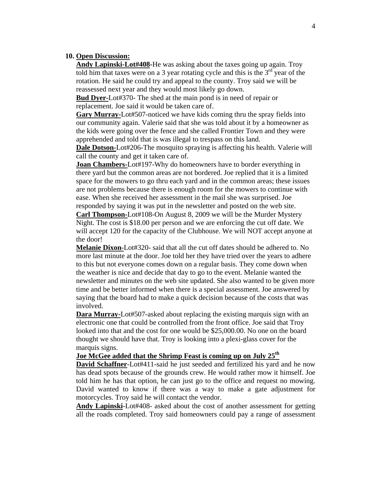#### **10. Open Discussion:**

**Andy Lapinski-Lot#408-**He was asking about the taxes going up again. Troy told him that taxes were on a 3 year rotating cycle and this is the  $3<sup>rd</sup>$  year of the rotation. He said he could try and appeal to the county. Troy said we will be reassessed next year and they would most likely go down.

**Bud Dyer-**Lot#370- The shed at the main pond is in need of repair or replacement. Joe said it would be taken care of.

**Gary Murray-**Lot#507-noticed we have kids coming thru the spray fields into our community again. Valerie said that she was told about it by a homeowner as the kids were going over the fence and she called Frontier Town and they were apprehended and told that is was illegal to trespass on this land.

**Dale Dotson-**Lot#206-The mosquito spraying is affecting his health. Valerie will call the county and get it taken care of.

**Joan Chambers-Lot#197-Why do homeowners have to border everything in** there yard but the common areas are not bordered. Joe replied that it is a limited space for the mowers to go thru each yard and in the common areas; these issues are not problems because there is enough room for the mowers to continue with ease. When she received her assessment in the mail she was surprised. Joe responded by saying it was put in the newsletter and posted on the web site.

**Carl Thompson-**Lot#108-On August 8, 2009 we will be the Murder Mystery Night. The cost is \$18.00 per person and we are enforcing the cut off date. We will accept 120 for the capacity of the Clubhouse. We will NOT accept anyone at the door!

**Melanie Dixon-**Lot#320- said that all the cut off dates should be adhered to. No more last minute at the door. Joe told her they have tried over the years to adhere to this but not everyone comes down on a regular basis. They come down when the weather is nice and decide that day to go to the event. Melanie wanted the newsletter and minutes on the web site updated. She also wanted to be given more time and be better informed when there is a special assessment. Joe answered by saying that the board had to make a quick decision because of the costs that was involved.

**Dara Murray-**Lot#507-asked about replacing the existing marquis sign with an electronic one that could be controlled from the front office. Joe said that Troy looked into that and the cost for one would be \$25,000.00. No one on the board thought we should have that. Troy is looking into a plexi-glass cover for the marquis signs.

## **Joe McGee added that the Shrimp Feast is coming up on July 25th**

**David Schaffner**-Lot#411-said he just seeded and fertilized his yard and he now has dead spots because of the grounds crew. He would rather mow it himself. Joe told him he has that option, he can just go to the office and request no mowing. David wanted to know if there was a way to make a gate adjustment for motorcycles. Troy said he will contact the vendor.

**Andy Lapinski**-Lot#408- asked about the cost of another assessment for getting all the roads completed. Troy said homeowners could pay a range of assessment